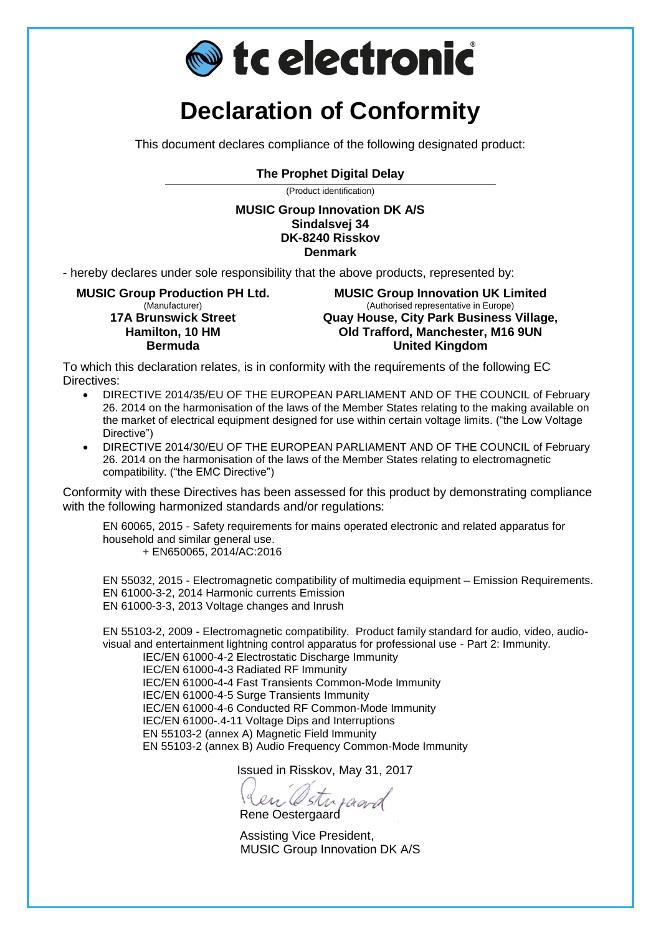

## **Declaration of Conformity**

This document declares compliance of the following designated product:

## **The Prophet Digital Delay**

(Product identification)

**MUSIC Group Innovation DK A/S Sindalsvej 34 DK-8240 Risskov Denmark**

- hereby declares under sole responsibility that the above products, represented by:

**MUSIC Group Production PH Ltd.** (Manufacturer) **17A Brunswick Street Hamilton, 10 HM Bermuda**

**MUSIC Group Innovation UK Limited** (Authorised representative in Europe) **Quay House, City Park Business Village, Old Trafford, Manchester, M16 9UN United Kingdom**

To which this declaration relates, is in conformity with the requirements of the following EC Directives:

- DIRECTIVE 2014/35/EU OF THE EUROPEAN PARLIAMENT AND OF THE COUNCIL of February 26. 2014 on the harmonisation of the laws of the Member States relating to the making available on the market of electrical equipment designed for use within certain voltage limits. ("the Low Voltage Directive")
- DIRECTIVE 2014/30/EU OF THE EUROPEAN PARLIAMENT AND OF THE COUNCIL of February 26. 2014 on the harmonisation of the laws of the Member States relating to electromagnetic compatibility. ("the EMC Directive")

Conformity with these Directives has been assessed for this product by demonstrating compliance with the following harmonized standards and/or regulations:

EN 60065, 2015 - Safety requirements for mains operated electronic and related apparatus for household and similar general use.

+ EN650065, 2014/AC:2016

EN 55032, 2015 - Electromagnetic compatibility of multimedia equipment – Emission Requirements. EN 61000-3-2, 2014 Harmonic currents Emission EN 61000-3-3, 2013 Voltage changes and Inrush

EN 55103-2, 2009 - Electromagnetic compatibility. Product family standard for audio, video, audiovisual and entertainment lightning control apparatus for professional use - Part 2: Immunity.

IEC/EN 61000-4-2 Electrostatic Discharge Immunity IEC/EN 61000-4-3 Radiated RF Immunity IEC/EN 61000-4-4 Fast Transients Common-Mode Immunity IEC/EN 61000-4-5 Surge Transients Immunity IEC/EN 61000-4-6 Conducted RF Common-Mode Immunity IEC/EN 61000-.4-11 Voltage Dips and Interruptions EN 55103-2 (annex A) Magnetic Field Immunity EN 55103-2 (annex B) Audio Frequency Common-Mode Immunity

Issued in Risskov, May 31, 2017

Ren Osterpaard

 Assisting Vice President, MUSIC Group Innovation DK A/S